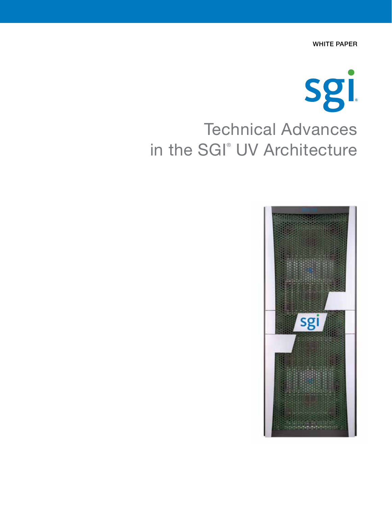WHITE PAPER



# in the SGI® UV Architecture

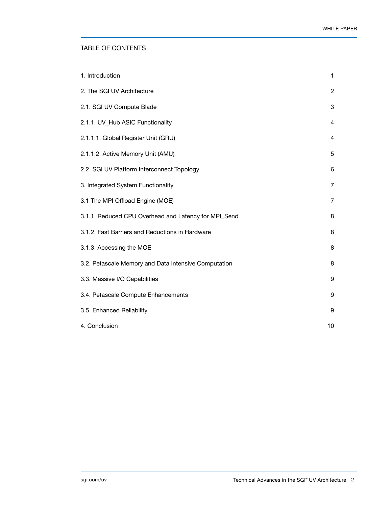## TABLE OF CONTENTS

| 1. Introduction                                      | 1              |
|------------------------------------------------------|----------------|
| 2. The SGI UV Architecture                           | $\overline{c}$ |
| 2.1. SGI UV Compute Blade                            | 3              |
| 2.1.1. UV_Hub ASIC Functionality                     | 4              |
| 2.1.1.1. Global Register Unit (GRU)                  | 4              |
| 2.1.1.2. Active Memory Unit (AMU)                    | 5              |
| 2.2. SGI UV Platform Interconnect Topology           | 6              |
| 3. Integrated System Functionality                   | $\overline{7}$ |
| 3.1 The MPI Offload Engine (MOE)                     | 7              |
| 3.1.1. Reduced CPU Overhead and Latency for MPI_Send | 8              |
| 3.1.2. Fast Barriers and Reductions in Hardware      | 8              |
| 3.1.3. Accessing the MOE                             | 8              |
| 3.2. Petascale Memory and Data Intensive Computation | 8              |
| 3.3. Massive I/O Capabilities                        | 9              |
| 3.4. Petascale Compute Enhancements                  | 9              |
| 3.5. Enhanced Reliability                            | 9              |
| 4. Conclusion                                        | 10             |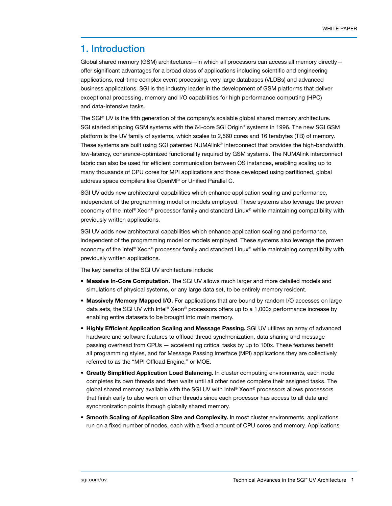# 1. Introduction

Global shared memory (GSM) architectures—in which all processors can access all memory directly offer significant advantages for a broad class of applications including scientific and engineering applications, real-time complex event processing, very large databases (VLDBs) and advanced business applications. SGI is the industry leader in the development of GSM platforms that deliver exceptional processing, memory and I/O capabilities for high performance computing (HPC) and data-intensive tasks.

The SGI® UV is the fifth generation of the company's scalable global shared memory architecture. SGI started shipping GSM systems with the 64-core SGI Origin® systems in 1996. The new SGI GSM platform is the UV family of systems, which scales to 2,560 cores and 16 terabytes (TB) of memory. These systems are built using SGI patented NUMAlink® interconnect that provides the high-bandwidth, low-latency, coherence-optimized functionality required by GSM systems. The NUMAlink interconnect fabric can also be used for efficient communication between OS instances, enabling scaling up to many thousands of CPU cores for MPI applications and those developed using partitioned, global address space compilers like OpenMP or Unified Parallel C.

SGI UV adds new architectural capabilities which enhance application scaling and performance, independent of the programming model or models employed. These systems also leverage the proven economy of the Intel® Xeon® processor family and standard Linux® while maintaining compatibility with previously written applications.

SGI UV adds new architectural capabilities which enhance application scaling and performance, independent of the programming model or models employed. These systems also leverage the proven economy of the Intel® Xeon® processor family and standard Linux® while maintaining compatibility with previously written applications.

The key benefits of the SGI UV architecture include:

- Massive In-Core Computation. The SGI UV allows much larger and more detailed models and simulations of physical systems, or any large data set, to be entirely memory resident.
- Massively Memory Mapped I/O. For applications that are bound by random I/O accesses on large data sets, the SGI UV with Intel® Xeon® processors offers up to a 1,000x performance increase by enabling entire datasets to be brought into main memory.
- Highly Efficient Application Scaling and Message Passing. SGI UV utilizes an array of advanced hardware and software features to offload thread synchronization, data sharing and message passing overhead from CPUs — accelerating critical tasks by up to 100x. These features benefit all programming styles, and for Message Passing Interface (MPI) applications they are collectively referred to as the "MPI Offload Engine," or MOE.
- **Greatly Simplified Application Load Balancing.** In cluster computing environments, each node completes its own threads and then waits until all other nodes complete their assigned tasks. The global shared memory available with the SGI UV with Intel® Xeon® processors allows processors that finish early to also work on other threads since each processor has access to all data and synchronization points through globally shared memory.
- Smooth Scaling of Application Size and Complexity. In most cluster environments, applications run on a fixed number of nodes, each with a fixed amount of CPU cores and memory. Applications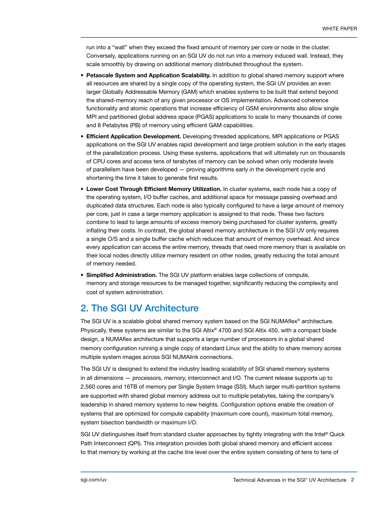run into a "wall" when they exceed the fixed amount of memory per core or node in the cluster. Conversely, applications running on an SGI UV do not run into a memory induced wall. Instead, they scale smoothly by drawing on additional memory distributed throughout the system.

- Petascale System and Application Scalability. In addition to global shared memory support where all resources are shared by a single copy of the operating system, the SGI UV provides an even larger Globally Addressable Memory (GAM) which enables systems to be built that extend beyond the shared-memory reach of any given processor or OS implementation. Advanced coherence functionality and atomic operations that increase efficiency of GSM environments also allow single MPI and partitioned global address space (PGAS) applications to scale to many thousands of cores and 8 Petabytes (PB) of memory using efficient GAM capabilities.
- **Efficient Application Development.** Developing threaded applications, MPI applications or PGAS applications on the SGI UV enables rapid development and large problem solution in the early stages of the parallelization process. Using these systems, applications that will ultimately run on thousands of CPU cores and access tens of terabytes of memory can be solved when only moderate levels of parallelism have been developed — proving algorithms early in the development cycle and shortening the time it takes to generate first results.
- Lower Cost Through Efficient Memory Utilization. In cluster systems, each node has a copy of the operating system, I/O buffer caches, and additional space for message passing overhead and duplicated data structures. Each node is also typically configured to have a large amount of memory per core, just in case a large memory application is assigned to that node. These two factors combine to lead to large amounts of excess memory being purchased for cluster systems, greatly inflating their costs. In contrast, the global shared memory architecture in the SGI UV only requires a single O/S and a single buffer cache which reduces that amount of memory overhead. And since every application can access the entire memory, threads that need more memory than is available on their local nodes directly utilize memory resident on other nodes, greatly reducing the total amount of memory needed.
- **Simplified Administration.** The SGI UV platform enables large collections of compute, memory and storage resources to be managed together, significantly reducing the complexity and cost of system administration.

# 2. The SGI UV Architecture

The SGI UV is a scalable global shared memory system based on the SGI NUMAflex® architecture. Physically, these systems are similar to the SGI Altix® 4700 and SGI Altix 450, with a compact blade design, a NUMAflex architecture that supports a large number of processors in a global shared memory configuration running a single copy of standard Linux and the ability to share memory across multiple system images across SGI NUMAlink connections.

The SGI UV is designed to extend the industry leading scalability of SGI shared memory systems in all dimensions — processors, memory, interconnect and I/O. The current release supports up to 2,560 cores and 16TB of memory per Single System Image (SSI). Much larger multi-partition systems are supported with shared global memory address out to multiple petabytes, taking the company's leadership in shared memory systems to new heights. Configuration options enable the creation of systems that are optimized for compute capability (maximum core count), maximum total memory, system bisection bandwidth or maximum I/O.

SGI UV distinguishes itself from standard cluster approaches by tightly integrating with the Intel® Quick Path Interconnect (QPI). This integration provides both global shared memory and efficient access to that memory by working at the cache line level over the entire system consisting of tens to tens of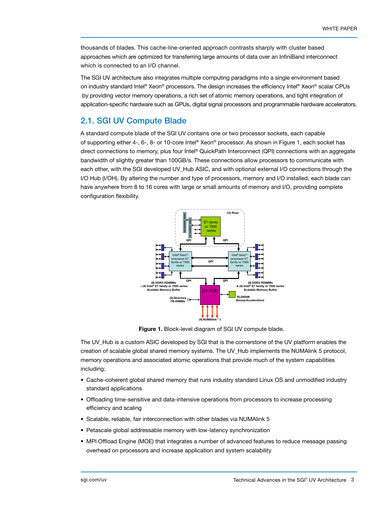thousands of blades. This cache-line-oriented approach contrasts sharply with cluster based approaches which are optimized for transferring large amounts of data over an InfiniBand interconnect which is connected to an I/O channel.

The SGI UV architecture also integrates multiple computing paradigms into a single environment based on industry standard Intel® Xeon® processors. The design increases the efficiency Intel® Xeon® scalar CPUs by providing vector memory operations, a rich set of atomic memory operations, and tight integration of application-specific hardware such as GPUs, digital signal processors and programmable hardware accelerators.

# 2.1. SGI UV Compute Blade

A standard compute blade of the SGI UV contains one or two processor sockets, each capable of supporting either 4-, 6-, 8- or 10-core Intel® Xeon® processor. As shown in Figure 1, each socket has direct connections to memory, plus four Intel® QuickPath Interconnect (QPI) connections with an aggregate bandwidth of slightly greater than 100GB/s. These connections allow processors to communicate with each other, with the SGI developed UV\_Hub ASIC, and with optional external I/O connections through the I/O Hub (I/OH). By altering the number and type of processors, memory and I/O installed, each blade can have anywhere from 8 to 16 cores with large or small amounts of memory and I/O, providing complete configuration flexibility.



Figure 1. Block-level diagram of SGI UV compute blade.

The UV\_Hub is a custom ASIC developed by SGI that is the cornerstone of the UV platform enables the creation of scalable global shared memory systems. The UV\_Hub implements the NUMAlink 5 protocol, memory operations and associated atomic operations that provide much of the system capabilities including:

- • Cache-coherent global shared memory that runs industry standard Linux OS and unmodified industry standard applications
- • Offloading time-sensitive and data-intensive operations from processors to increase processing efficiency and scaling
- Scalable, reliable, fair interconnection with other blades via NUMAlink 5
- Petascale global addressable memory with low-latency synchronization
- MPI Offload Engine (MOE) that integrates a number of advanced features to reduce message passing overhead on processors and increase application and system scalability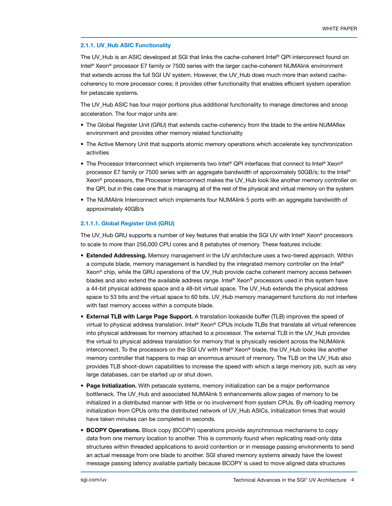### 2.1.1. UV\_Hub ASIC Functionality

The UV Hub is an ASIC developed at SGI that links the cache-coherent Intel® QPI interconnect found on Intel® Xeon® processor E7 family or 7500 series with the larger cache-coherent NUMAlink environment that extends across the full SGI UV system. However, the UV\_Hub does much more than extend cachecoherency to more processor cores; it provides other functionality that enables efficient system operation for petascale systems.

The UV\_Hub ASIC has four major portions plus additional functionality to manage directories and snoop acceleration. The four major units are:

- The Global Register Unit (GRU) that extends cache-coherency from the blade to the entire NUMAflex environment and provides other memory related functionality
- The Active Memory Unit that supports atomic memory operations which accelerate key synchronization activities
- The Processor Interconnect which implements two Intel® QPI interfaces that connect to Intel® Xeon® processor E7 family or 7500 series with an aggregate bandwidth of approximately 50GB/s; to the Intel® Xeon® processors, the Processor Interconnect makes the UV\_Hub look like another memory controller on the QPI, but in this case one that is managing all of the rest of the physical and virtual memory on the system
- The NUMAlink Interconnect which implements four NUMAlink 5 ports with an aggregate bandwidth of approximately 40GB/s

## 2.1.1.1. Global Register Unit (GRU)

The UV\_Hub GRU supports a number of key features that enable the SGI UV with Intel® Xeon® processors to scale to more than 256,000 CPU cores and 8 petabytes of memory. These features include:

- Extended Addressing. Memory management in the UV architecture uses a two-tiered approach. Within a compute blade, memory management is handled by the integrated memory controller on the Intel® Xeon® chip, while the GRU operations of the UV\_Hub provide cache coherent memory access between blades and also extend the available address range. Intel® Xeon® processors used in this system have a 44-bit physical address space and a 48-bit virtual space. The UV\_Hub extends the physical address space to 53 bits and the virtual space to 60 bits. UV\_Hub memory management functions do not interfere with fast memory access within a compute blade.
- **External TLB with Large Page Support.** A translation lookaside buffer (TLB) improves the speed of virtual to physical address translation. Intel® Xeon® CPUs include TLBs that translate all virtual references into physical addresses for memory attached to a processor. The external TLB in the UV\_Hub provides the virtual to physical address translation for memory that is physically resident across the NUMAlink interconnect. To the processors on the SGI UV with Intel® Xeon® blade, the UV\_Hub looks like another memory controller that happens to map an enormous amount of memory. The TLB on the UV\_Hub also provides TLB shoot-down capabilities to increase the speed with which a large memory job, such as very large databases, can be started up or shut down.
- Page Initialization. With petascale systems, memory initialization can be a major performance bottleneck. The UV\_Hub and associated NUMAlink 5 enhancements allow pages of memory to be initialized in a distributed manner with little or no involvement from system CPUs. By off-loading memory initialization from CPUs onto the distributed network of UV\_Hub ASICs, initialization times that would have taken minutes can be completed in seconds.
- **BCOPY Operations.** Block copy (BCOPY) operations provide asynchronous mechanisms to copy data from one memory location to another. This is commonly found when replicating read-only data structures within threaded applications to avoid contention or in message passing environments to send an actual message from one blade to another. SGI shared memory systems already have the lowest message passing latency available partially because BCOPY is used to move aligned data structures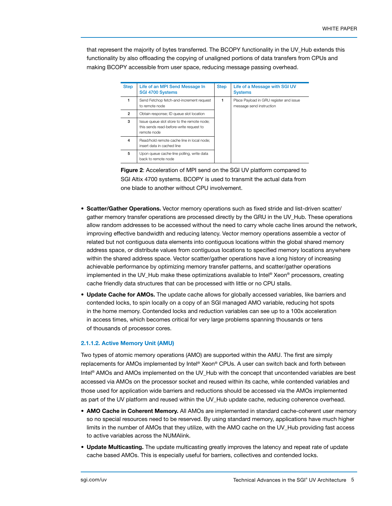that represent the majority of bytes transferred. The BCOPY functionality in the UV\_Hub extends this functionality by also offloading the copying of unaligned portions of data transfers from CPUs and making BCOPY accessible from user space, reducing message passing overhead.

| <b>Step</b> | Life of an MPI Send Message In<br><b>SGI 4700 Systems</b>                                            | <b>Step</b> | Life of a Message with SGI UV<br><b>Systems</b>                     |
|-------------|------------------------------------------------------------------------------------------------------|-------------|---------------------------------------------------------------------|
|             | Send Fetchop fetch-and-increment request<br>to remote node                                           |             | Place Payload in GRU register and issue<br>message send instruction |
| 2           | Obtain response; ID queue slot location                                                              |             |                                                                     |
| 3           | Issue queue slot store to the remote node;<br>this sends read-before-write request to<br>remote node |             |                                                                     |
| 4           | Read/hold remote cache line in local node:<br>insert data in cached line                             |             |                                                                     |
| 5           | Upon queue cache-line polling, write data<br>back to remote node                                     |             |                                                                     |

Figure 2: Acceleration of MPI send on the SGI UV platform compared to SGI Altix 4700 systems. BCOPY is used to transmit the actual data from one blade to another without CPU involvement.

- Scatter/Gather Operations. Vector memory operations such as fixed stride and list-driven scatter/ gather memory transfer operations are processed directly by the GRU in the UV\_Hub. These operations allow random addresses to be accessed without the need to carry whole cache lines around the network, improving effective bandwidth and reducing latency. Vector memory operations assemble a vector of related but not contiguous data elements into contiguous locations within the global shared memory address space, or distribute values from contiguous locations to specified memory locations anywhere within the shared address space. Vector scatter/gather operations have a long history of increasing achievable performance by optimizing memory transfer patterns, and scatter/gather operations implemented in the UV Hub make these optimizations available to Intel® Xeon® processors, creating cache friendly data structures that can be processed with little or no CPU stalls.
- Update Cache for AMOs. The update cache allows for globally accessed variables, like barriers and contended locks, to spin locally on a copy of an SGI managed AMO variable, reducing hot spots in the home memory. Contended locks and reduction variables can see up to a 100x acceleration in access times, which becomes critical for very large problems spanning thousands or tens of thousands of processor cores.

## 2.1.1.2. Active Memory Unit (AMU)

Two types of atomic memory operations (AMO) are supported within the AMU. The first are simply replacements for AMOs implemented by Intel® Xeon® CPUs. A user can switch back and forth between Intel® AMOs and AMOs implemented on the UV\_Hub with the concept that uncontended variables are best accessed via AMOs on the processor socket and reused within its cache, while contended variables and those used for application wide barriers and reductions should be accessed via the AMOs implemented as part of the UV platform and reused within the UV Hub update cache, reducing coherence overhead.

- AMO Cache in Coherent Memory. All AMOs are implemented in standard cache-coherent user memory so no special resources need to be reserved. By using standard memory, applications have much higher limits in the number of AMOs that they utilize, with the AMO cache on the UV\_Hub providing fast access to active variables across the NUMAlink.
- Update Multicasting. The update multicasting greatly improves the latency and repeat rate of update cache based AMOs. This is especially useful for barriers, collectives and contended locks.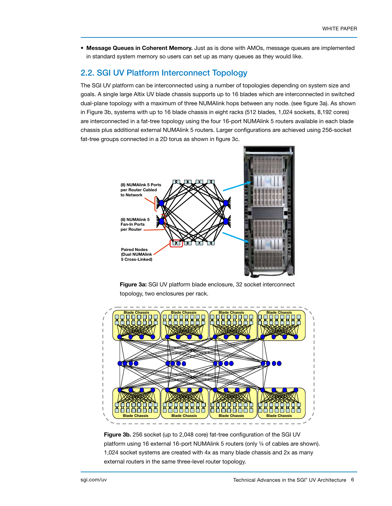**• Message Queues in Coherent Memory.** Just as is done with AMOs, message queues are implemented in standard system memory so users can set up as many queues as they would like.

# 2.2. SGI UV Platform Interconnect Topology

The SGI UV platform can be interconnected using a number of topologies depending on system size and goals. A single large Altix UV blade chassis supports up to 16 blades which are interconnected in switched dual-plane topology with a maximum of three NUMAlink hops between any node. (see figure 3a). As shown in Figure 3b, systems with up to 16 blade chassis in eight racks (512 blades, 1,024 sockets, 8,192 cores) are interconnected in a fat-tree topology using the four 16-port NUMAlink 5 routers available in each blade chassis plus additional external NUMAlink 5 routers. Larger configurations are achieved using 256-socket fat-tree groups connected in a 2D torus as shown in figure 3c.



Figure 3a: SGI UV platform blade enclosure, 32 socket interconnect topology, two enclosures per rack.



Figure 3b. 256 socket (up to 2,048 core) fat-tree configuration of the SGI UV platform using 16 external 16-port NUMAlink 5 routers (only ¼ of cables are shown). 1,024 socket systems are created with 4x as many blade chassis and 2x as many external routers in the same three-level router topology.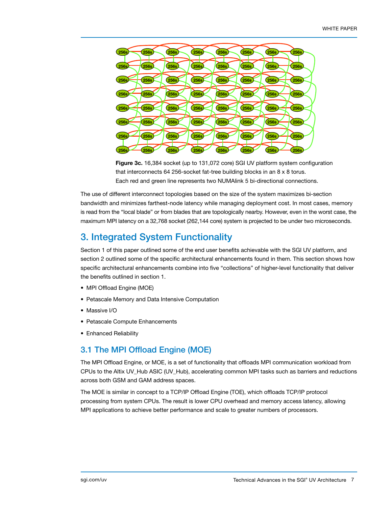

Figure 3c. 16,384 socket (up to 131,072 core) SGI UV platform system configuration that interconnects 64 256-socket fat-tree building blocks in an 8 x 8 torus. Each red and green line represents two NUMAlink 5 bi-directional connections.

The use of different interconnect topologies based on the size of the system maximizes bi-section bandwidth and minimizes farthest-node latency while managing deployment cost. In most cases, memory is read from the "local blade" or from blades that are topologically nearby. However, even in the worst case, the maximum MPI latency on a 32,768 socket (262,144 core) system is projected to be under two microseconds.

# 3. Integrated System Functionality

Section 1 of this paper outlined some of the end user benefits achievable with the SGI UV platform, and section 2 outlined some of the specific architectural enhancements found in them. This section shows how specific architectural enhancements combine into five "collections" of higher-level functionality that deliver the benefits outlined in section 1.

- MPI Offload Engine (MOE)
- Petascale Memory and Data Intensive Computation
- Massive I/O
- Petascale Compute Enhancements
- Enhanced Reliability

# 3.1 The MPI Offload Engine (MOE)

The MPI Offload Engine, or MOE, is a set of functionality that offloads MPI communication workload from CPUs to the Altix UV\_Hub ASIC (UV\_Hub), accelerating common MPI tasks such as barriers and reductions across both GSM and GAM address spaces.

The MOE is similar in concept to a TCP/IP Offload Engine (TOE), which offloads TCP/IP protocol processing from system CPUs. The result is lower CPU overhead and memory access latency, allowing MPI applications to achieve better performance and scale to greater numbers of processors.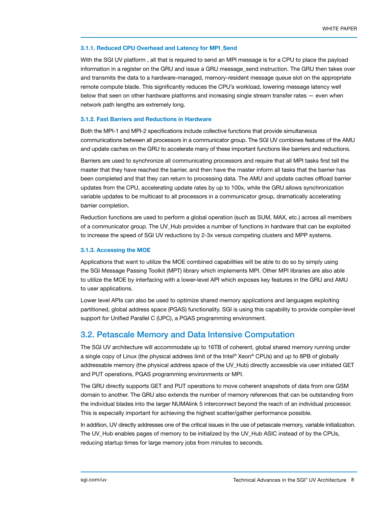#### 3.1.1. Reduced CPU Overhead and Latency for MPI\_Send

With the SGI UV platform , all that is required to send an MPI message is for a CPU to place the payload information in a register on the GRU and issue a GRU message\_send instruction. The GRU then takes over and transmits the data to a hardware-managed, memory-resident message queue slot on the appropriate remote compute blade. This significantly reduces the CPU's workload, lowering message latency well below that seen on other hardware platforms and increasing single stream transfer rates — even when network path lengths are extremely long.

#### 3.1.2. Fast Barriers and Reductions in Hardware

Both the MPI-1 and MPI-2 specifications include collective functions that provide simultaneous communications between all processors in a communicator group. The SGI UV combines features of the AMU and update caches on the GRU to accelerate many of these important functions like barriers and reductions.

Barriers are used to synchronize all communicating processors and require that all MPI tasks first tell the master that they have reached the barrier, and then have the master inform all tasks that the barrier has been completed and that they can return to processing data. The AMU and update caches offload barrier updates from the CPU, accelerating update rates by up to 100x, while the GRU allows synchronization variable updates to be multicast to all processors in a communicator group, dramatically accelerating barrier completion.

Reduction functions are used to perform a global operation (such as SUM, MAX, etc.) across all members of a communicator group. The UV\_Hub provides a number of functions in hardware that can be exploited to increase the speed of SGI UV reductions by 2-3x versus competing clusters and MPP systems.

### 3.1.3. Accessing the MOE

Applications that want to utilize the MOE combined capabilities will be able to do so by simply using the SGI Message Passing Toolkit (MPT) library which implements MPI. Other MPI libraries are also able to utilize the MOE by interfacing with a lower-level API which exposes key features in the GRU and AMU to user applications.

Lower level APIs can also be used to optimize shared memory applications and languages exploiting partitioned, global address space (PGAS) functionality. SGI is using this capability to provide compiler-level support for Unified Parallel C (UPC), a PGAS programming environment.

## 3.2. Petascale Memory and Data Intensive Computation

The SGI UV architecture will accommodate up to 16TB of coherent, global shared memory running under a single copy of Linux (the physical address limit of the Intel® Xeon® CPUs) and up to 8PB of globally addressable memory (the physical address space of the UV\_Hub) directly accessible via user initiated GET and PUT operations, PGAS programming environments or MPI.

The GRU directly supports GET and PUT operations to move coherent snapshots of data from one GSM domain to another. The GRU also extends the number of memory references that can be outstanding from the individual blades into the larger NUMAlink 5 interconnect beyond the reach of an individual processor. This is especially important for achieving the highest scatter/gather performance possible.

In addition, UV directly addresses one of the critical issues in the use of petascale memory, variable initialization. The UV Hub enables pages of memory to be initialized by the UV Hub ASIC instead of by the CPUs, reducing startup times for large memory jobs from minutes to seconds.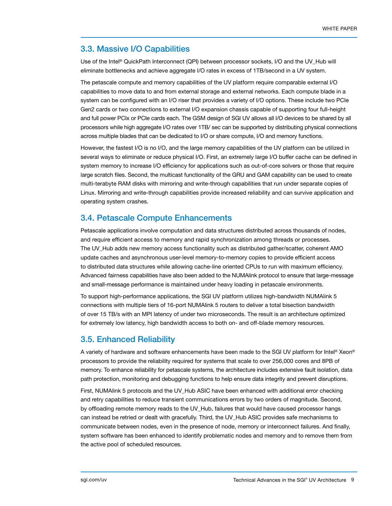# 3.3. Massive I/O Capabilities

Use of the Intel® QuickPath Interconnect (QPI) between processor sockets, I/O and the UV\_Hub will eliminate bottlenecks and achieve aggregate I/O rates in excess of 1TB/second in a UV system.

The petascale compute and memory capabilities of the UV platform require comparable external I/O capabilities to move data to and from external storage and external networks. Each compute blade in a system can be configured with an I/O riser that provides a variety of I/O options. These include two PCIe Gen2 cards or two connections to external I/O expansion chassis capable of supporting four full-height and full power PCIx or PCIe cards each. The GSM design of SGI UV allows all I/O devices to be shared by all processors while high aggregate I/O rates over 1TB/ sec can be supported by distributing physical connections across multiple blades that can be dedicated to I/O or share compute, I/O and memory functions.

However, the fastest I/O is no I/O, and the large memory capabilities of the UV platform can be utilized in several ways to eliminate or reduce physical I/O. First, an extremely large I/O buffer cache can be defined in system memory to increase I/O efficiency for applications such as out-of-core solvers or those that require large scratch files. Second, the multicast functionality of the GRU and GAM capability can be used to create multi-terabyte RAM disks with mirroring and write-through capabilities that run under separate copies of Linux. Mirroring and write-through capabilities provide increased reliability and can survive application and operating system crashes.

# 3.4. Petascale Compute Enhancements

Petascale applications involve computation and data structures distributed across thousands of nodes, and require efficient access to memory and rapid synchronization among threads or processes. The UV\_Hub adds new memory access functionality such as distributed gather/scatter, coherent AMO update caches and asynchronous user-level memory-to-memory copies to provide efficient access to distributed data structures while allowing cache-line oriented CPUs to run with maximum efficiency. Advanced fairness capabilities have also been added to the NUMAlink protocol to ensure that large-message and small-message performance is maintained under heavy loading in petascale environments.

To support high-performance applications, the SGI UV platform utilizes high-bandwidth NUMAlink 5 connections with multiple tiers of 16-port NUMAlink 5 routers to deliver a total bisection bandwidth of over 15 TB/s with an MPI latency of under two microseconds. The result is an architecture optimized for extremely low latency, high bandwidth access to both on- and off-blade memory resources.

## 3.5. Enhanced Reliability

A variety of hardware and software enhancements have been made to the SGI UV platform for Intel® Xeon® processors to provide the reliability required for systems that scale to over 256,000 cores and 8PB of memory. To enhance reliability for petascale systems, the architecture includes extensive fault isolation, data path protection, monitoring and debugging functions to help ensure data integrity and prevent disruptions.

First, NUMAlink 5 protocols and the UV\_Hub ASIC have been enhanced with additional error checking and retry capabilities to reduce transient communications errors by two orders of magnitude. Second, by offloading remote memory reads to the UV\_Hub, failures that would have caused processor hangs can instead be retried or dealt with gracefully. Third, the UV\_Hub ASIC provides safe mechanisms to communicate between nodes, even in the presence of node, memory or interconnect failures. And finally, system software has been enhanced to identify problematic nodes and memory and to remove them from the active pool of scheduled resources.